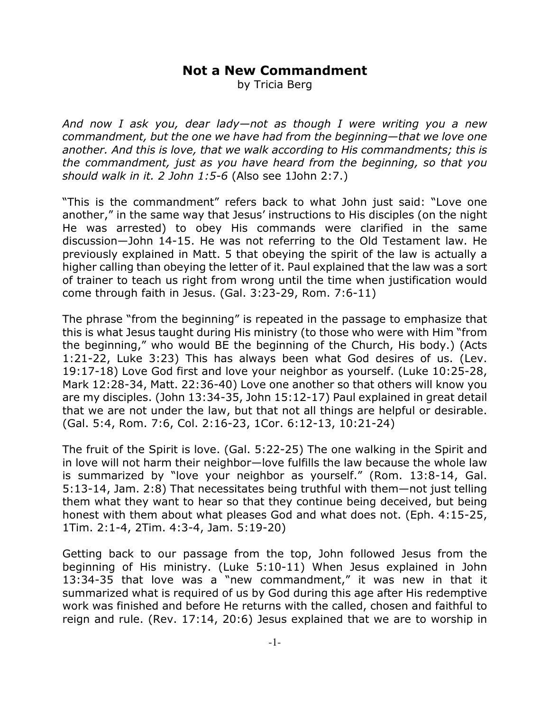## **Not a New Commandment**

by Tricia Berg

*And now I ask you, dear lady—not as though I were writing you a new commandment, but the one we have had from the beginning—that we love one another. And this is love, that we walk according to His commandments; this is the commandment, just as you have heard from the beginning, so that you should walk in it. 2 John 1:5-6* (Also see 1John 2:7.)

"This is the commandment" refers back to what John just said: "Love one another," in the same way that Jesus' instructions to His disciples (on the night He was arrested) to obey His commands were clarified in the same discussion—John 14-15. He was not referring to the Old Testament law. He previously explained in Matt. 5 that obeying the spirit of the law is actually a higher calling than obeying the letter of it. Paul explained that the law was a sort of trainer to teach us right from wrong until the time when justification would come through faith in Jesus. (Gal. 3:23-29, Rom. 7:6-11)

The phrase "from the beginning" is repeated in the passage to emphasize that this is what Jesus taught during His ministry (to those who were with Him "from the beginning," who would BE the beginning of the Church, His body.) (Acts 1:21-22, Luke 3:23) This has always been what God desires of us. (Lev. 19:17-18) Love God first and love your neighbor as yourself. (Luke 10:25-28, Mark 12:28-34, Matt. 22:36-40) Love one another so that others will know you are my disciples. (John 13:34-35, John 15:12-17) Paul explained in great detail that we are not under the law, but that not all things are helpful or desirable. (Gal. 5:4, Rom. 7:6, Col. 2:16-23, 1Cor. 6:12-13, 10:21-24)

The fruit of the Spirit is love. (Gal. 5:22-25) The one walking in the Spirit and in love will not harm their neighbor—love fulfills the law because the whole law is summarized by "love your neighbor as yourself." (Rom. 13:8-14, Gal. 5:13-14, Jam. 2:8) That necessitates being truthful with them—not just telling them what they want to hear so that they continue being deceived, but being honest with them about what pleases God and what does not. (Eph. 4:15-25, 1Tim. 2:1-4, 2Tim. 4:3-4, Jam. 5:19-20)

Getting back to our passage from the top, John followed Jesus from the beginning of His ministry. (Luke 5:10-11) When Jesus explained in John 13:34-35 that love was a "new commandment," it was new in that it summarized what is required of us by God during this age after His redemptive work was finished and before He returns with the called, chosen and faithful to reign and rule. (Rev. 17:14, 20:6) Jesus explained that we are to worship in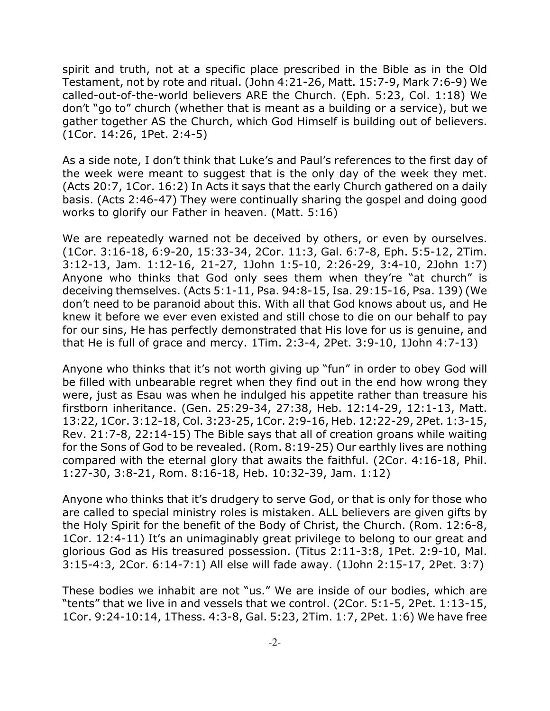spirit and truth, not at a specific place prescribed in the Bible as in the Old Testament, not by rote and ritual. (John 4:21-26, Matt. 15:7-9, Mark 7:6-9) We called-out-of-the-world believers ARE the Church. (Eph. 5:23, Col. 1:18) We don't "go to" church (whether that is meant as a building or a service), but we gather together AS the Church, which God Himself is building out of believers. (1Cor. 14:26, 1Pet. 2:4-5)

As a side note, I don't think that Luke's and Paul's references to the first day of the week were meant to suggest that is the only day of the week they met. (Acts 20:7, 1Cor. 16:2) In Acts it says that the early Church gathered on a daily basis. (Acts 2:46-47) They were continually sharing the gospel and doing good works to glorify our Father in heaven. (Matt. 5:16)

We are repeatedly warned not be deceived by others, or even by ourselves. (1Cor. 3:16-18, 6:9-20, 15:33-34, 2Cor. 11:3, Gal. 6:7-8, Eph. 5:5-12, 2Tim. 3:12-13, Jam. 1:12-16, 21-27, 1John 1:5-10, 2:26-29, 3:4-10, 2John 1:7) Anyone who thinks that God only sees them when they're "at church" is deceiving themselves. (Acts 5:1-11, Psa. 94:8-15, Isa. 29:15-16, Psa. 139) (We don't need to be paranoid about this. With all that God knows about us, and He knew it before we ever even existed and still chose to die on our behalf to pay for our sins, He has perfectly demonstrated that His love for us is genuine, and that He is full of grace and mercy. 1Tim. 2:3-4, 2Pet. 3:9-10, 1John 4:7-13)

Anyone who thinks that it's not worth giving up "fun" in order to obey God will be filled with unbearable regret when they find out in the end how wrong they were, just as Esau was when he indulged his appetite rather than treasure his firstborn inheritance. (Gen. 25:29-34, 27:38, Heb. 12:14-29, 12:1-13, Matt. 13:22, 1Cor. 3:12-18, Col. 3:23-25, 1Cor. 2:9-16, Heb. 12:22-29, 2Pet. 1:3-15, Rev. 21:7-8, 22:14-15) The Bible says that all of creation groans while waiting for the Sons of God to be revealed. (Rom. 8:19-25) Our earthly lives are nothing compared with the eternal glory that awaits the faithful. (2Cor. 4:16-18, Phil. 1:27-30, 3:8-21, Rom. 8:16-18, Heb. 10:32-39, Jam. 1:12)

Anyone who thinks that it's drudgery to serve God, or that is only for those who are called to special ministry roles is mistaken. ALL believers are given gifts by the Holy Spirit for the benefit of the Body of Christ, the Church. (Rom. 12:6-8, 1Cor. 12:4-11) It's an unimaginably great privilege to belong to our great and glorious God as His treasured possession. (Titus 2:11-3:8, 1Pet. 2:9-10, Mal. 3:15-4:3, 2Cor. 6:14-7:1) All else will fade away. (1John 2:15-17, 2Pet. 3:7)

These bodies we inhabit are not "us." We are inside of our bodies, which are "tents" that we live in and vessels that we control. (2Cor. 5:1-5, 2Pet. 1:13-15, 1Cor. 9:24-10:14, 1Thess. 4:3-8, Gal. 5:23, 2Tim. 1:7, 2Pet. 1:6) We have free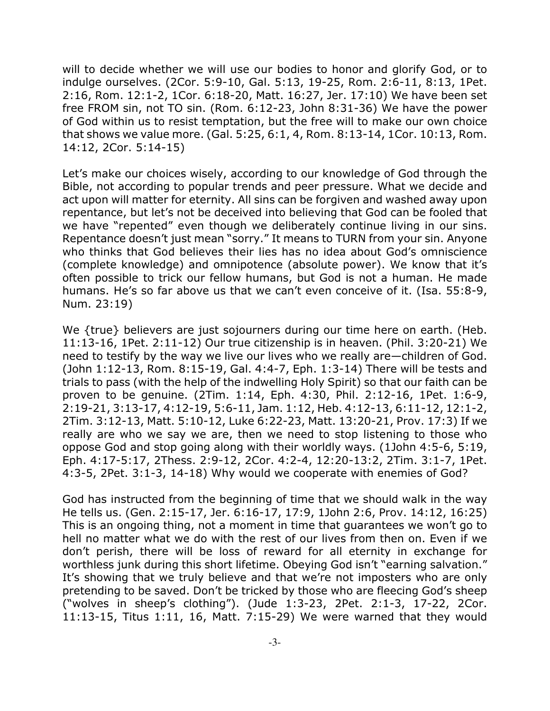will to decide whether we will use our bodies to honor and glorify God, or to indulge ourselves. (2Cor. 5:9-10, Gal. 5:13, 19-25, Rom. 2:6-11, 8:13, 1Pet. 2:16, Rom. 12:1-2, 1Cor. 6:18-20, Matt. 16:27, Jer. 17:10) We have been set free FROM sin, not TO sin. (Rom. 6:12-23, John 8:31-36) We have the power of God within us to resist temptation, but the free will to make our own choice that shows we value more. (Gal. 5:25, 6:1, 4, Rom. 8:13-14, 1Cor. 10:13, Rom. 14:12, 2Cor. 5:14-15)

Let's make our choices wisely, according to our knowledge of God through the Bible, not according to popular trends and peer pressure. What we decide and act upon will matter for eternity. All sins can be forgiven and washed away upon repentance, but let's not be deceived into believing that God can be fooled that we have "repented" even though we deliberately continue living in our sins. Repentance doesn't just mean "sorry." It means to TURN from your sin. Anyone who thinks that God believes their lies has no idea about God's omniscience (complete knowledge) and omnipotence (absolute power). We know that it's often possible to trick our fellow humans, but God is not a human. He made humans. He's so far above us that we can't even conceive of it. (Isa. 55:8-9, Num. 23:19)

We {true} believers are just sojourners during our time here on earth. (Heb. 11:13-16, 1Pet. 2:11-12) Our true citizenship is in heaven. (Phil. 3:20-21) We need to testify by the way we live our lives who we really are—children of God. (John 1:12-13, Rom. 8:15-19, Gal. 4:4-7, Eph. 1:3-14) There will be tests and trials to pass (with the help of the indwelling Holy Spirit) so that our faith can be proven to be genuine. (2Tim. 1:14, Eph. 4:30, Phil. 2:12-16, 1Pet. 1:6-9, 2:19-21, 3:13-17, 4:12-19, 5:6-11, Jam. 1:12, Heb. 4:12-13, 6:11-12, 12:1-2, 2Tim. 3:12-13, Matt. 5:10-12, Luke 6:22-23, Matt. 13:20-21, Prov. 17:3) If we really are who we say we are, then we need to stop listening to those who oppose God and stop going along with their worldly ways. (1John 4:5-6, 5:19, Eph. 4:17-5:17, 2Thess. 2:9-12, 2Cor. 4:2-4, 12:20-13:2, 2Tim. 3:1-7, 1Pet. 4:3-5, 2Pet. 3:1-3, 14-18) Why would we cooperate with enemies of God?

God has instructed from the beginning of time that we should walk in the way He tells us. (Gen. 2:15-17, Jer. 6:16-17, 17:9, 1John 2:6, Prov. 14:12, 16:25) This is an ongoing thing, not a moment in time that guarantees we won't go to hell no matter what we do with the rest of our lives from then on. Even if we don't perish, there will be loss of reward for all eternity in exchange for worthless junk during this short lifetime. Obeying God isn't "earning salvation." It's showing that we truly believe and that we're not imposters who are only pretending to be saved. Don't be tricked by those who are fleecing God's sheep ("wolves in sheep's clothing"). (Jude 1:3-23, 2Pet. 2:1-3, 17-22, 2Cor. 11:13-15, Titus 1:11, 16, Matt. 7:15-29) We were warned that they would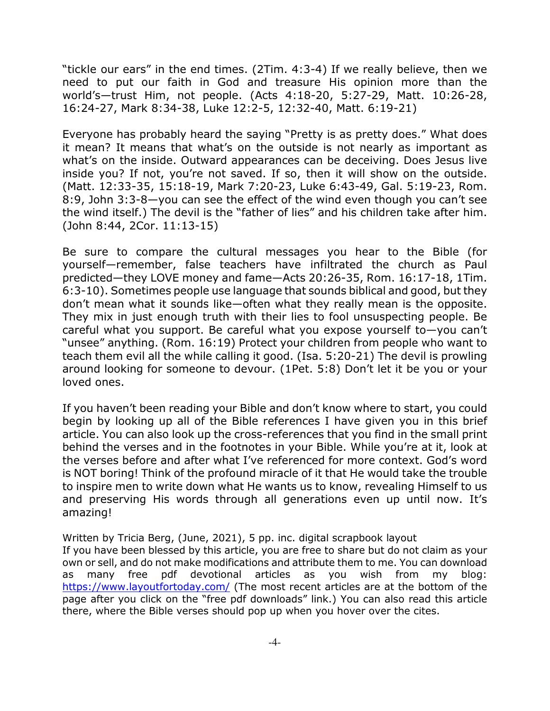"tickle our ears" in the end times. (2Tim. 4:3-4) If we really believe, then we need to put our faith in God and treasure His opinion more than the world's—trust Him, not people. (Acts 4:18-20, 5:27-29, Matt. 10:26-28, 16:24-27, Mark 8:34-38, Luke 12:2-5, 12:32-40, Matt. 6:19-21)

Everyone has probably heard the saying "Pretty is as pretty does." What does it mean? It means that what's on the outside is not nearly as important as what's on the inside. Outward appearances can be deceiving. Does Jesus live inside you? If not, you're not saved. If so, then it will show on the outside. (Matt. 12:33-35, 15:18-19, Mark 7:20-23, Luke 6:43-49, Gal. 5:19-23, Rom. 8:9, John 3:3-8—you can see the effect of the wind even though you can't see the wind itself.) The devil is the "father of lies" and his children take after him. (John 8:44, 2Cor. 11:13-15)

Be sure to compare the cultural messages you hear to the Bible (for yourself—remember, false teachers have infiltrated the church as Paul predicted—they LOVE money and fame—Acts 20:26-35, Rom. 16:17-18, 1Tim. 6:3-10). Sometimes people use language that sounds biblical and good, but they don't mean what it sounds like—often what they really mean is the opposite. They mix in just enough truth with their lies to fool unsuspecting people. Be careful what you support. Be careful what you expose yourself to—you can't "unsee" anything. (Rom. 16:19) Protect your children from people who want to teach them evil all the while calling it good. (Isa. 5:20-21) The devil is prowling around looking for someone to devour. (1Pet. 5:8) Don't let it be you or your loved ones.

If you haven't been reading your Bible and don't know where to start, you could begin by looking up all of the Bible references I have given you in this brief article. You can also look up the cross-references that you find in the small print behind the verses and in the footnotes in your Bible. While you're at it, look at the verses before and after what I've referenced for more context. God's word is NOT boring! Think of the profound miracle of it that He would take the trouble to inspire men to write down what He wants us to know, revealing Himself to us and preserving His words through all generations even up until now. It's amazing!

Written by Tricia Berg, (June, 2021), 5 pp. inc. digital scrapbook layout If you have been blessed by this article, you are free to share but do not claim as your own or sell, and do not make modifications and attribute them to me. You can download as many free pdf devotional articles as you wish from my blog: https://www.layoutfortoday.com/ (The most recent articles are at the bottom of the page after you click on the "free pdf downloads" link.) You can also read this article there, where the Bible verses should pop up when you hover over the cites.